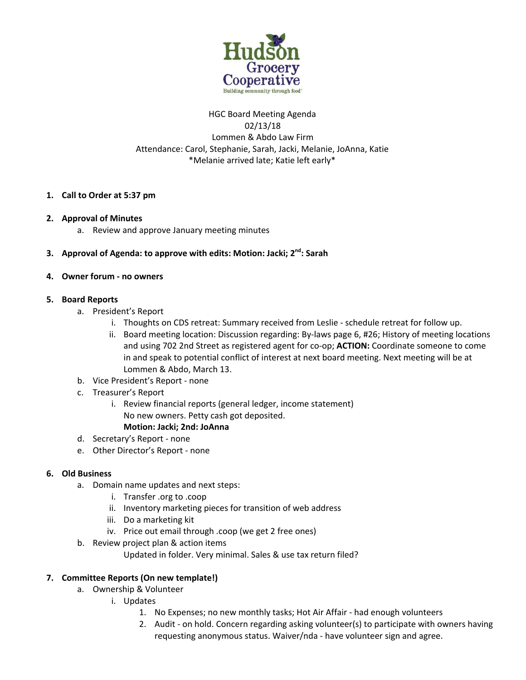

# HGC Board Meeting Agenda 02/13/18 Lommen & Abdo Law Firm Attendance: Carol, Stephanie, Sarah, Jacki, Melanie, JoAnna, Katie \*Melanie arrived late; Katie left early\*

# **1. Call to Order at 5:37 pm**

### **2. Approval of Minutes**

a. Review and approve January meeting minutes

# **3. Approval of Agenda: to approve with edits: Motion: Jacki; 2 nd : Sarah**

### **4. Owner forum - no owners**

## **5. Board Reports**

- a. President's Report
	- i. Thoughts on CDS retreat: Summary received from Leslie schedule retreat for follow up.
	- ii. Board meeting location: Discussion regarding: By-laws page 6, #26; History of meeting locations and using 702 2nd Street as registered agent for co-op; **ACTION:** Coordinate someone to come in and speak to potential conflict of interest at next board meeting. Next meeting will be at Lommen & Abdo, March 13.
- b. Vice President's Report none
- c. Treasurer's Report
	- i. Review financial reports (general ledger, income statement) No new owners. Petty cash got deposited. **Motion: Jacki; 2nd: JoAnna**

# d. Secretary's Report - none

e. Other Director's Report - none

### **6. Old Business**

- a. Domain name updates and next steps:
	- i. Transfer .org to .coop
	- ii. Inventory marketing pieces for transition of web address
	- iii. Do a marketing kit
	- iv. Price out email through .coop (we get 2 free ones)
- b. Review project plan & action items

Updated in folder. Very minimal. Sales & use tax return filed?

# **7. Committee Reports (On new template!)**

- a. Ownership & Volunteer
	- i. Updates
		- 1. No Expenses; no new monthly tasks; Hot Air Affair had enough volunteers
		- 2. Audit on hold. Concern regarding asking volunteer(s) to participate with owners having requesting anonymous status. Waiver/nda - have volunteer sign and agree.